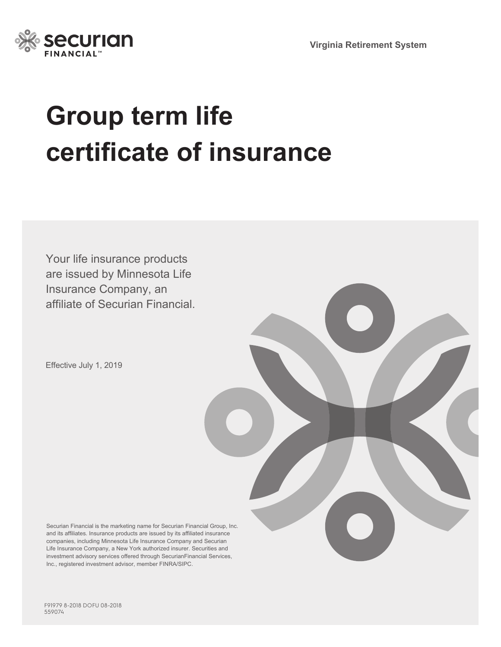



# **Group term life certificate of insurance**

Your life insurance products are issued by Minnesota Life Insurance Company, an affiliate of Securian Financial.

Effective July 1, 2019

Securian Financial is the marketing name for Securian Financial Group, Inc. and its affiliates. Insurance products are issued by its affiliated insurance companies, including Minnesota Life Insurance Company and Securian Life Insurance Company, a New York authorized insurer. Securities and investment advisory services offered through SecurianFinancial Services, Inc., registered investment advisor, member FINRA/SIPC.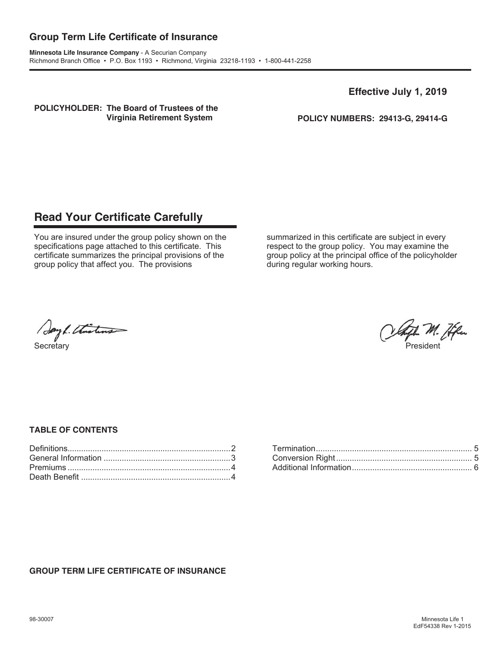### **Group Term Life Certificate of Insurance**

**Minnesota Life Insurance Company** - A Securian Company Richmond Branch Office • P.O. Box 1193 • Richmond, Virginia 23218-1193 • 1-800-441-2258

**Effective July 1, 2019** 

**POLICYHOLDER: The Board of Trustees of the** 

**Virginia Retirement System POLICY NUMBERS: 29413-G, 29414-G**

## **Read Your Certificate Carefully**

You are insured under the group policy shown on the specifications page attached to this certificate. This certificate summarizes the principal provisions of the group policy that affect you. The provisions

summarized in this certificate are subject in every respect to the group policy. You may examine the group policy at the principal office of the policyholder during regular working hours.

Sayl. Thisting

late M. Hfm Secretary President (President Control of the Secretary President Control of the Secretary President Control of the Secretary President (President Control of the Secretary President Control of the Secretary President Contr

#### **TABLE OF CONTENTS**

#### **GROUP TERM LIFE CERTIFICATE OF INSURANCE**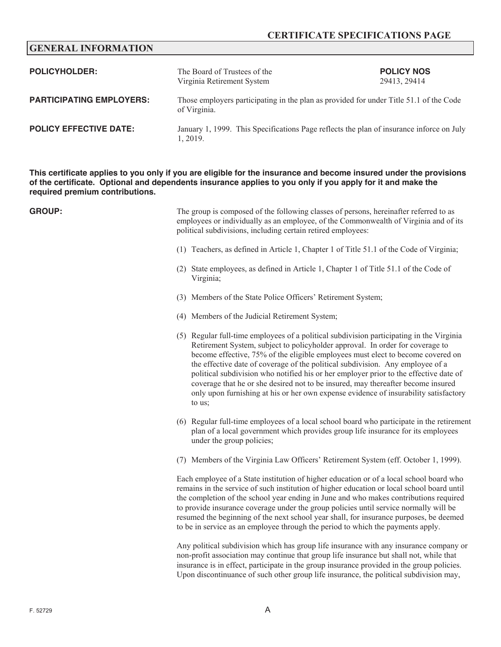#### **CERTIFICATE SPECIFICATIONS PAGE**

#### **GENERAL INFORMATION**

| <b>POLICYHOLDER:</b>            | The Board of Trustees of the<br>Virginia Retirement System                                             | <b>POLICY NOS</b><br>29413, 29414 |
|---------------------------------|--------------------------------------------------------------------------------------------------------|-----------------------------------|
| <b>PARTICIPATING EMPLOYERS:</b> | Those employers participating in the plan as provided for under Title 51.1 of the Code<br>of Virginia. |                                   |
| <b>POLICY EFFECTIVE DATE:</b>   | January 1, 1999. This Specifications Page reflects the plan of insurance inforce on July<br>1, 2019.   |                                   |

**This certificate applies to you only if you are eligible for the insurance and become insured under the provisions of the certificate. Optional and dependents insurance applies to you only if you apply for it and make the required premium contributions.**

**GROUP:** The group is composed of the following classes of persons, hereinafter referred to as employees or individually as an employee, of the Commonwealth of Virginia and of its political subdivisions, including certain retired employees: (1) Teachers, as defined in Article 1, Chapter 1 of Title 51.1 of the Code of Virginia; (2) State employees, as defined in Article 1, Chapter 1 of Title 51.1 of the Code of Virginia; (3) Members of the State Police Officers' Retirement System; (4) Members of the Judicial Retirement System; (5) Regular full-time employees of a political subdivision participating in the Virginia Retirement System, subject to policyholder approval. In order for coverage to become effective, 75% of the eligible employees must elect to become covered on the effective date of coverage of the political subdivision. Any employee of a political subdivision who notified his or her employer prior to the effective date of coverage that he or she desired not to be insured, may thereafter become insured only upon furnishing at his or her own expense evidence of insurability satisfactory to us; (6) Regular full-time employees of a local school board who participate in the retirement plan of a local government which provides group life insurance for its employees under the group policies; (7) Members of the Virginia Law Officers' Retirement System (eff. October 1, 1999). Each employee of a State institution of higher education or of a local school board who remains in the service of such institution of higher education or local school board until the completion of the school year ending in June and who makes contributions required to provide insurance coverage under the group policies until service normally will be resumed the beginning of the next school year shall, for insurance purposes, be deemed to be in service as an employee through the period to which the payments apply. Any political subdivision which has group life insurance with any insurance company or non-profit association may continue that group life insurance but shall not, while that insurance is in effect, participate in the group insurance provided in the group policies.

Upon discontinuance of such other group life insurance, the political subdivision may,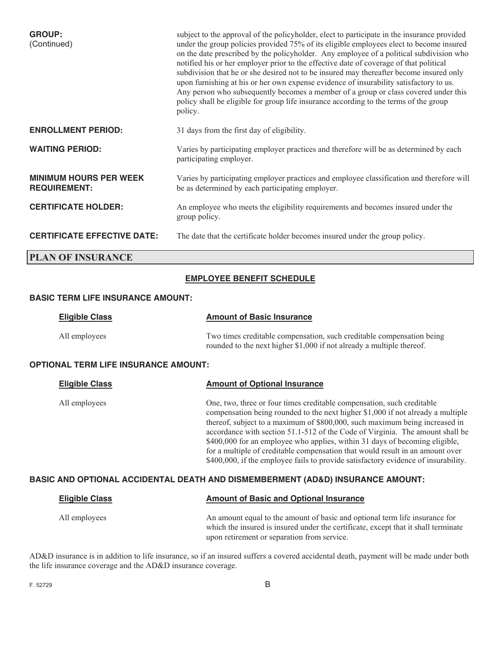| <b>GROUP:</b><br>(Continued)                         | subject to the approval of the policyholder, elect to participate in the insurance provided<br>under the group policies provided 75% of its eligible employees elect to become insured<br>on the date prescribed by the policyholder. Any employee of a political subdivision who<br>notified his or her employer prior to the effective date of coverage of that political<br>subdivision that he or she desired not to be insured may thereafter become insured only<br>upon furnishing at his or her own expense evidence of insurability satisfactory to us.<br>Any person who subsequently becomes a member of a group or class covered under this<br>policy shall be eligible for group life insurance according to the terms of the group<br>policy. |
|------------------------------------------------------|-------------------------------------------------------------------------------------------------------------------------------------------------------------------------------------------------------------------------------------------------------------------------------------------------------------------------------------------------------------------------------------------------------------------------------------------------------------------------------------------------------------------------------------------------------------------------------------------------------------------------------------------------------------------------------------------------------------------------------------------------------------|
| <b>ENROLLMENT PERIOD:</b>                            | 31 days from the first day of eligibility.                                                                                                                                                                                                                                                                                                                                                                                                                                                                                                                                                                                                                                                                                                                  |
| <b>WAITING PERIOD:</b>                               | Varies by participating employer practices and therefore will be as determined by each<br>participating employer.                                                                                                                                                                                                                                                                                                                                                                                                                                                                                                                                                                                                                                           |
| <b>MINIMUM HOURS PER WEEK</b><br><b>REQUIREMENT:</b> | Varies by participating employer practices and employee classification and therefore will<br>be as determined by each participating employer.                                                                                                                                                                                                                                                                                                                                                                                                                                                                                                                                                                                                               |
| <b>CERTIFICATE HOLDER:</b>                           | An employee who meets the eligibility requirements and becomes insured under the<br>group policy.                                                                                                                                                                                                                                                                                                                                                                                                                                                                                                                                                                                                                                                           |
| <b>CERTIFICATE EFFECTIVE DATE:</b>                   | The date that the certificate holder becomes insured under the group policy.                                                                                                                                                                                                                                                                                                                                                                                                                                                                                                                                                                                                                                                                                |
| <b>PLAN OF INSURANCE</b>                             |                                                                                                                                                                                                                                                                                                                                                                                                                                                                                                                                                                                                                                                                                                                                                             |

#### **EMPLOYEE BENEFIT SCHEDULE**

#### **BASIC TERM LIFE INSURANCE AMOUNT:**

| <b>Eligible Class</b> | <b>Amount of Basic Insurance</b>                                                                                                               |
|-----------------------|------------------------------------------------------------------------------------------------------------------------------------------------|
| All employees         | Two times creditable compensation, such creditable compensation being<br>rounded to the next higher \$1,000 if not already a multiple thereof. |

#### **OPTIONAL TERM LIFE INSURANCE AMOUNT:**

| <b>Eligible Class</b> | <b>Amount of Optional Insurance</b>                                                                                                                                                                                                                                                                                                                                                                                                                                                                                                                                             |
|-----------------------|---------------------------------------------------------------------------------------------------------------------------------------------------------------------------------------------------------------------------------------------------------------------------------------------------------------------------------------------------------------------------------------------------------------------------------------------------------------------------------------------------------------------------------------------------------------------------------|
| All employees         | One, two, three or four times creditable compensation, such creditable<br>compensation being rounded to the next higher \$1,000 if not already a multiple<br>thereof, subject to a maximum of \$800,000, such maximum being increased in<br>accordance with section 51.1-512 of the Code of Virginia. The amount shall be<br>\$400,000 for an employee who applies, within 31 days of becoming eligible,<br>for a multiple of creditable compensation that would result in an amount over<br>\$400,000, if the employee fails to provide satisfactory evidence of insurability. |
|                       |                                                                                                                                                                                                                                                                                                                                                                                                                                                                                                                                                                                 |

#### **BASIC AND OPTIONAL ACCIDENTAL DEATH AND DISMEMBERMENT (AD&D) INSURANCE AMOUNT:**

| <b>Eligible Class</b> | <b>Amount of Basic and Optional Insurance</b>                                                                                                                                                                    |
|-----------------------|------------------------------------------------------------------------------------------------------------------------------------------------------------------------------------------------------------------|
| All employees         | An amount equal to the amount of basic and optional term life insurance for<br>which the insured is insured under the certificate, except that it shall terminate<br>upon retirement or separation from service. |

AD&D insurance is in addition to life insurance, so if an insured suffers a covered accidental death, payment will be made under both the life insurance coverage and the AD&D insurance coverage.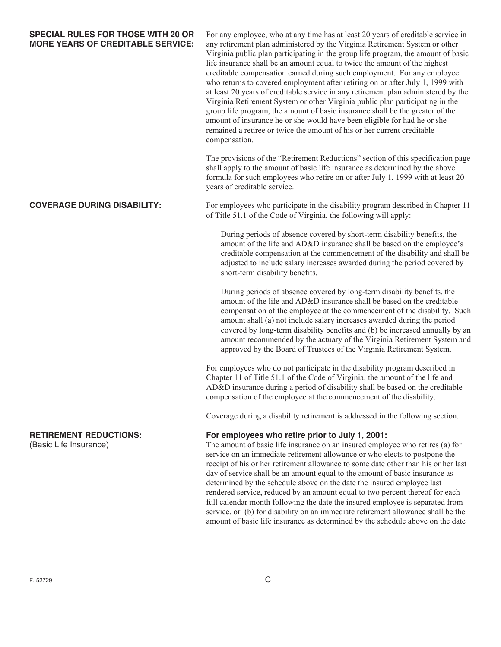**SPECIAL RULES FOR THOSE WITH 20 OR** For any employee, who at any time has at least 20 years of creditable service in **MORE YEARS OF CREDITABLE SERVICE:** any retirement plan administered by the Virginia Retirement System or other Virginia public plan participating in the group life program, the amount of basic life insurance shall be an amount equal to twice the amount of the highest creditable compensation earned during such employment. For any employee who returns to covered employment after retiring on or after July 1, 1999 with at least 20 years of creditable service in any retirement plan administered by the Virginia Retirement System or other Virginia public plan participating in the group life program, the amount of basic insurance shall be the greater of the amount of insurance he or she would have been eligible for had he or she remained a retiree or twice the amount of his or her current creditable compensation.

> The provisions of the "Retirement Reductions" section of this specification page shall apply to the amount of basic life insurance as determined by the above formula for such employees who retire on or after July 1, 1999 with at least 20 years of creditable service.

**COVERAGE DURING DISABILITY:** For employees who participate in the disability program described in Chapter 11 of Title 51.1 of the Code of Virginia, the following will apply:

> During periods of absence covered by short-term disability benefits, the amount of the life and AD&D insurance shall be based on the employee's creditable compensation at the commencement of the disability and shall be adjusted to include salary increases awarded during the period covered by short-term disability benefits.

> During periods of absence covered by long-term disability benefits, the amount of the life and AD&D insurance shall be based on the creditable compensation of the employee at the commencement of the disability. Such amount shall (a) not include salary increases awarded during the period covered by long-term disability benefits and (b) be increased annually by an amount recommended by the actuary of the Virginia Retirement System and approved by the Board of Trustees of the Virginia Retirement System.

For employees who do not participate in the disability program described in Chapter 11 of Title 51.1 of the Code of Virginia, the amount of the life and AD&D insurance during a period of disability shall be based on the creditable compensation of the employee at the commencement of the disability.

Coverage during a disability retirement is addressed in the following section.

#### **RETIREMENT REDUCTIONS: For employees who retire prior to July 1, 2001:**

(Basic Life Insurance) The amount of basic life insurance on an insured employee who retires (a) for service on an immediate retirement allowance or who elects to postpone the receipt of his or her retirement allowance to some date other than his or her last day of service shall be an amount equal to the amount of basic insurance as determined by the schedule above on the date the insured employee last rendered service, reduced by an amount equal to two percent thereof for each full calendar month following the date the insured employee is separated from service, or (b) for disability on an immediate retirement allowance shall be the amount of basic life insurance as determined by the schedule above on the date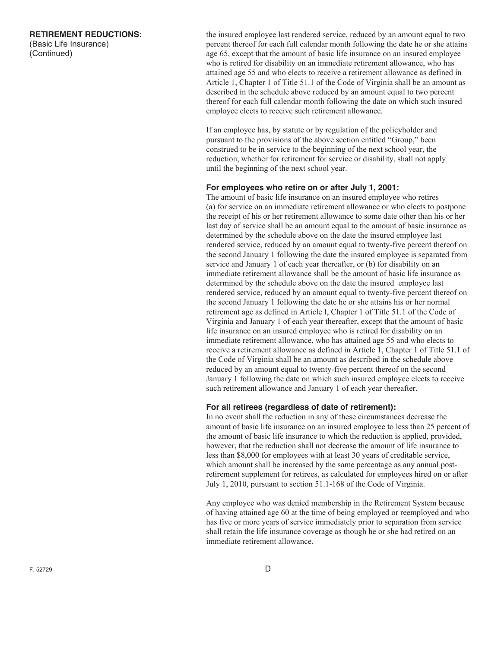**RETIREMENT REDUCTIONS:** the insured employee last rendered service, reduced by an amount equal to two (Basic Life Insurance) percent thereof for each full calendar month following the date he or she attains (Continued) age 65, except that the amount of basic life insurance on an insured employee who is retired for disability on an immediate retirement allowance, who has attained age 55 and who elects to receive a retirement allowance as defined in Article 1, Chapter 1 of Title 51.1 of the Code of Virginia shall be an amount as described in the schedule above reduced by an amount equal to two percent thereof for each full calendar month following the date on which such insured employee elects to receive such retirement allowance.

> If an employee has, by statute or by regulation of the policyholder and pursuant to the provisions of the above section entitled "Group," been construed to be in service to the beginning of the next school year, the reduction, whether for retirement for service or disability, shall not apply until the beginning of the next school year.

#### **For employees who retire on or after July 1, 2001:**

The amount of basic life insurance on an insured employee who retires (a) for service on an immediate retirement allowance or who elects to postpone the receipt of his or her retirement allowance to some date other than his or her last day of service shall be an amount equal to the amount of basic insurance as determined by the schedule above on the date the insured employee last rendered service, reduced by an amount equal to twenty-five percent thereof on the second January 1 following the date the insured employee is separated from service and January 1 of each year thereafter, or (b) for disability on an immediate retirement allowance shall be the amount of basic life insurance as determined by the schedule above on the date the insured employee last rendered service, reduced by an amount equal to twenty-five percent thereof on the second January 1 following the date he or she attains his or her normal retirement age as defined in Article I, Chapter 1 of Title 51.1 of the Code of Virginia and January 1 of each year thereafter, except that the amount of basic life insurance on an insured employee who is retired for disability on an immediate retirement allowance, who has attained age 55 and who elects to receive a retirement allowance as defined in Article 1, Chapter 1 of Title 51.1 of the Code of Virginia shall be an amount as described in the schedule above reduced by an amount equal to twenty-five percent thereof on the second January 1 following the date on which such insured employee elects to receive such retirement allowance and January 1 of each year thereafter.

#### **For all retirees (regardless of date of retirement):**

In no event shall the reduction in any of these circumstances decrease the amount of basic life insurance on an insured employee to less than 25 percent of the amount of basic life insurance to which the reduction is applied, provided, however, that the reduction shall not decrease the amount of life insurance to less than \$8,000 for employees with at least 30 years of creditable service, which amount shall be increased by the same percentage as any annual postretirement supplement for retirees, as calculated for employees hired on or after July 1, 2010, pursuant to section 51.1-168 of the Code of Virginia.

Any employee who was denied membership in the Retirement System because of having attained age 60 at the time of being employed or reemployed and who has five or more years of service immediately prior to separation from service shall retain the life insurance coverage as though he or she had retired on an immediate retirement allowance.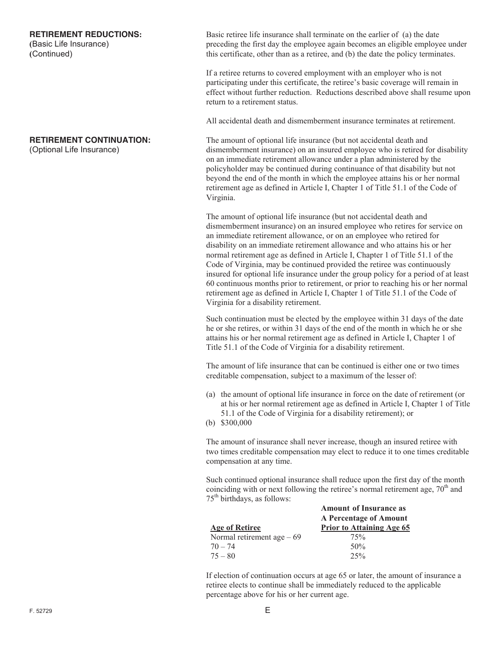#### **RETIREMENT REDUCTIONS:**

**(**Basic Life Insurance) **(**Continued)

#### **RETIREMENT CONTINUATION:**

(Optional Life Insurance)

Basic retiree life insurance shall terminate on the earlier of (a) the date preceding the first day the employee again becomes an eligible employee under this certificate, other than as a retiree, and (b) the date the policy terminates.

If a retiree returns to covered employment with an employer who is not participating under this certificate, the retiree's basic coverage will remain in effect without further reduction. Reductions described above shall resume upon return to a retirement status.

All accidental death and dismemberment insurance terminates at retirement.

The amount of optional life insurance (but not accidental death and dismemberment insurance) on an insured employee who is retired for disability on an immediate retirement allowance under a plan administered by the policyholder may be continued during continuance of that disability but not beyond the end of the month in which the employee attains his or her normal retirement age as defined in Article I, Chapter 1 of Title 51.1 of the Code of Virginia.

The amount of optional life insurance (but not accidental death and dismemberment insurance) on an insured employee who retires for service on an immediate retirement allowance, or on an employee who retired for disability on an immediate retirement allowance and who attains his or her normal retirement age as defined in Article I, Chapter 1 of Title 51.1 of the Code of Virginia, may be continued provided the retiree was continuously insured for optional life insurance under the group policy for a period of at least 60 continuous months prior to retirement, or prior to reaching his or her normal retirement age as defined in Article I, Chapter 1 of Title 51.1 of the Code of Virginia for a disability retirement.

Such continuation must be elected by the employee within 31 days of the date he or she retires, or within 31 days of the end of the month in which he or she attains his or her normal retirement age as defined in Article I, Chapter 1 of Title 51.1 of the Code of Virginia for a disability retirement.

The amount of life insurance that can be continued is either one or two times creditable compensation, subject to a maximum of the lesser of:

- (a) the amount of optional life insurance in force on the date of retirement (or at his or her normal retirement age as defined in Article I, Chapter 1 of Title 51.1 of the Code of Virginia for a disability retirement); or
- (b)  $$300,000$

The amount of insurance shall never increase, though an insured retiree with two times creditable compensation may elect to reduce it to one times creditable compensation at any time.

Such continued optional insurance shall reduce upon the first day of the month coinciding with or next following the retiree's normal retirement age,  $70<sup>th</sup>$  and 75th birthdays, as follows:

|                             | <b>Amount of Insurance as</b>    |
|-----------------------------|----------------------------------|
|                             | A Percentage of Amount           |
| <b>Age of Retiree</b>       | <b>Prior to Attaining Age 65</b> |
| Normal retirement age $-69$ | 75%                              |
| $70 - 74$                   | 50%                              |
| $75 - 80$                   | 25%                              |

If election of continuation occurs at age 65 or later, the amount of insurance a retiree elects to continue shall be immediately reduced to the applicable percentage above for his or her current age.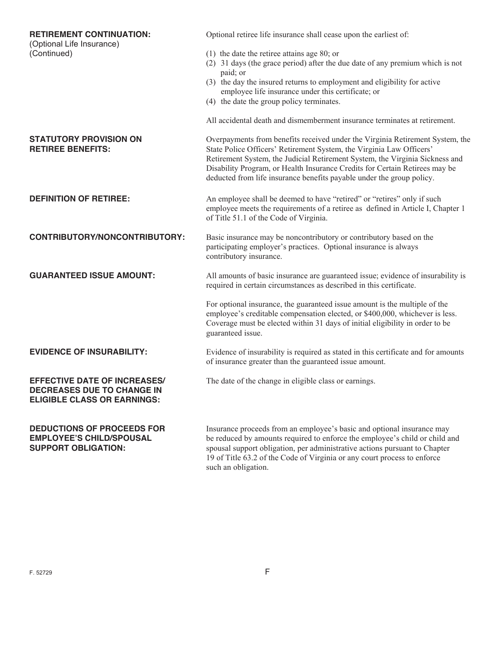| <b>RETIREMENT CONTINUATION:</b><br>(Optional Life Insurance)     | Optional retiree life insurance shall cease upon the earliest of:                                                                                                                                                                                                                                                                                                                             |
|------------------------------------------------------------------|-----------------------------------------------------------------------------------------------------------------------------------------------------------------------------------------------------------------------------------------------------------------------------------------------------------------------------------------------------------------------------------------------|
| (Continued)                                                      |                                                                                                                                                                                                                                                                                                                                                                                               |
|                                                                  | $(1)$ the date the retiree attains age 80; or                                                                                                                                                                                                                                                                                                                                                 |
|                                                                  | (2) 31 days (the grace period) after the due date of any premium which is not                                                                                                                                                                                                                                                                                                                 |
|                                                                  | paid; or                                                                                                                                                                                                                                                                                                                                                                                      |
|                                                                  | (3) the day the insured returns to employment and eligibility for active                                                                                                                                                                                                                                                                                                                      |
|                                                                  | employee life insurance under this certificate; or                                                                                                                                                                                                                                                                                                                                            |
|                                                                  | (4) the date the group policy terminates.                                                                                                                                                                                                                                                                                                                                                     |
|                                                                  |                                                                                                                                                                                                                                                                                                                                                                                               |
|                                                                  | All accidental death and dismemberment insurance terminates at retirement.                                                                                                                                                                                                                                                                                                                    |
|                                                                  |                                                                                                                                                                                                                                                                                                                                                                                               |
| <b>STATUTORY PROVISION ON</b><br><b>RETIREE BENEFITS:</b>        | Overpayments from benefits received under the Virginia Retirement System, the<br>State Police Officers' Retirement System, the Virginia Law Officers'<br>Retirement System, the Judicial Retirement System, the Virginia Sickness and<br>Disability Program, or Health Insurance Credits for Certain Retirees may be<br>deducted from life insurance benefits payable under the group policy. |
|                                                                  |                                                                                                                                                                                                                                                                                                                                                                                               |
| <b>DEFINITION OF RETIREE:</b>                                    | An employee shall be deemed to have "retired" or "retires" only if such                                                                                                                                                                                                                                                                                                                       |
|                                                                  | employee meets the requirements of a retiree as defined in Article I, Chapter 1                                                                                                                                                                                                                                                                                                               |
|                                                                  | of Title 51.1 of the Code of Virginia.                                                                                                                                                                                                                                                                                                                                                        |
|                                                                  |                                                                                                                                                                                                                                                                                                                                                                                               |
| CONTRIBUTORY/NONCONTRIBUTORY:                                    | Basic insurance may be noncontributory or contributory based on the                                                                                                                                                                                                                                                                                                                           |
|                                                                  | participating employer's practices. Optional insurance is always<br>contributory insurance.                                                                                                                                                                                                                                                                                                   |
|                                                                  |                                                                                                                                                                                                                                                                                                                                                                                               |
| <b>GUARANTEED ISSUE AMOUNT:</b>                                  | All amounts of basic insurance are guaranteed issue; evidence of insurability is<br>required in certain circumstances as described in this certificate.                                                                                                                                                                                                                                       |
|                                                                  |                                                                                                                                                                                                                                                                                                                                                                                               |
|                                                                  | For optional insurance, the guaranteed issue amount is the multiple of the<br>employee's creditable compensation elected, or \$400,000, whichever is less.<br>Coverage must be elected within 31 days of initial eligibility in order to be<br>guaranteed issue.                                                                                                                              |
|                                                                  |                                                                                                                                                                                                                                                                                                                                                                                               |
| <b>EVIDENCE OF INSURABILITY:</b>                                 | Evidence of insurability is required as stated in this certificate and for amounts<br>of insurance greater than the guaranteed issue amount.                                                                                                                                                                                                                                                  |
| <b>EFFECTIVE DATE OF INCREASES/</b>                              | The date of the change in eligible class or earnings.                                                                                                                                                                                                                                                                                                                                         |
| DECREASES DUE TO CHANGE IN<br><b>ELIGIBLE CLASS OR EARNINGS:</b> |                                                                                                                                                                                                                                                                                                                                                                                               |
| <b>DEDUCTIONS OF PROCEEDS FOR</b>                                |                                                                                                                                                                                                                                                                                                                                                                                               |
|                                                                  | Insurance proceeds from an employee's basic and optional insurance may                                                                                                                                                                                                                                                                                                                        |
| <b>EMPLOYEE'S CHILD/SPOUSAL</b><br><b>SUPPORT OBLIGATION:</b>    | be reduced by amounts required to enforce the employee's child or child and<br>spousal support obligation, per administrative actions pursuant to Chapter<br>19 of Title 63.2 of the Code of Virginia or any court process to enforce<br>such an obligation.                                                                                                                                  |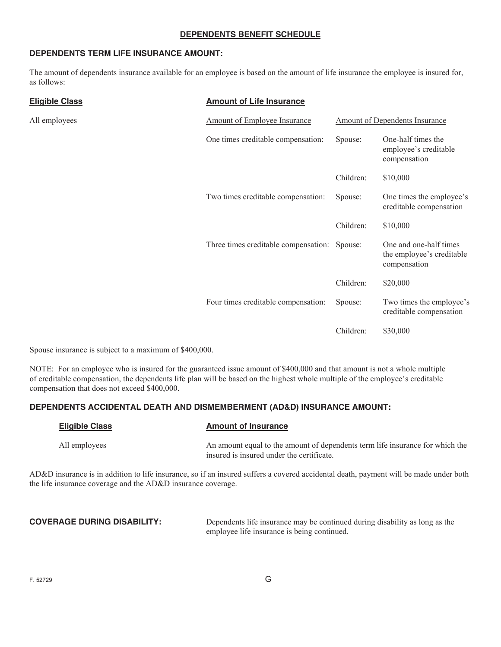#### **DEPENDENTS BENEFIT SCHEDULE**

#### **DEPENDENTS TERM LIFE INSURANCE AMOUNT:**

The amount of dependents insurance available for an employee is based on the amount of life insurance the employee is insured for, as follows:

| <b>Eligible Class</b> | <b>Amount of Life Insurance</b>      |           |                                                                     |
|-----------------------|--------------------------------------|-----------|---------------------------------------------------------------------|
| All employees         | <b>Amount of Employee Insurance</b>  |           | <b>Amount of Dependents Insurance</b>                               |
|                       | One times creditable compensation:   | Spouse:   | One-half times the<br>employee's creditable<br>compensation         |
|                       |                                      | Children: | \$10,000                                                            |
|                       | Two times creditable compensation:   | Spouse:   | One times the employee's<br>creditable compensation                 |
|                       |                                      | Children: | \$10,000                                                            |
|                       | Three times creditable compensation: | Spouse:   | One and one-half times<br>the employee's creditable<br>compensation |
|                       |                                      | Children: | \$20,000                                                            |
|                       | Four times creditable compensation:  | Spouse:   | Two times the employee's<br>creditable compensation                 |
|                       |                                      | Children: | \$30,000                                                            |

Spouse insurance is subject to a maximum of \$400,000.

NOTE: For an employee who is insured for the guaranteed issue amount of \$400,000 and that amount is not a whole multiple of creditable compensation, the dependents life plan will be based on the highest whole multiple of the employee's creditable compensation that does not exceed \$400,000.

#### **DEPENDENTS ACCIDENTAL DEATH AND DISMEMBERMENT (AD&D) INSURANCE AMOUNT:**

| <b>Eligible Class</b> | <b>Amount of Insurance</b>                                                                                                 |
|-----------------------|----------------------------------------------------------------------------------------------------------------------------|
| All employees         | An amount equal to the amount of dependents term life insurance for which the<br>insured is insured under the certificate. |

AD&D insurance is in addition to life insurance, so if an insured suffers a covered accidental death, payment will be made under both the life insurance coverage and the AD&D insurance coverage.

**COVERAGE DURING DISABILITY:** Dependents life insurance may be continued during disability as long as the employee life insurance is being continued.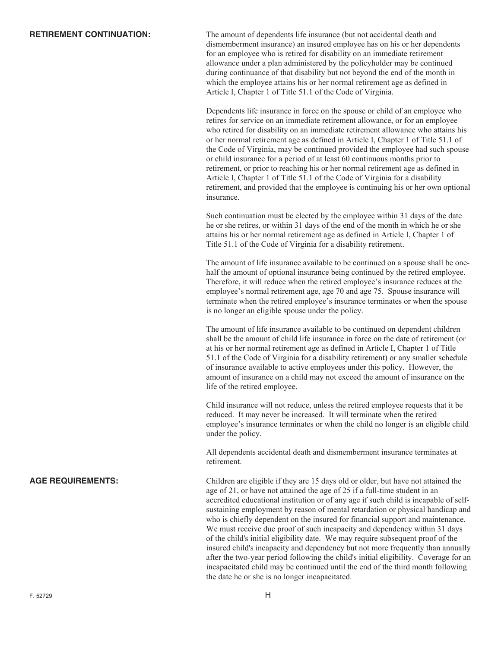**RETIREMENT CONTINUATION:** The amount of dependents life insurance (but not accidental death and dismemberment insurance) an insured employee has on his or her dependents for an employee who is retired for disability on an immediate retirement allowance under a plan administered by the policyholder may be continued during continuance of that disability but not beyond the end of the month in which the employee attains his or her normal retirement age as defined in Article I, Chapter 1 of Title 51.1 of the Code of Virginia.

> Dependents life insurance in force on the spouse or child of an employee who retires for service on an immediate retirement allowance, or for an employee who retired for disability on an immediate retirement allowance who attains his or her normal retirement age as defined in Article I, Chapter 1 of Title 51.1 of the Code of Virginia, may be continued provided the employee had such spouse or child insurance for a period of at least 60 continuous months prior to retirement, or prior to reaching his or her normal retirement age as defined in Article I, Chapter 1 of Title 51.1 of the Code of Virginia for a disability retirement, and provided that the employee is continuing his or her own optional insurance.

Such continuation must be elected by the employee within 31 days of the date he or she retires, or within 31 days of the end of the month in which he or she attains his or her normal retirement age as defined in Article I, Chapter 1 of Title 51.1 of the Code of Virginia for a disability retirement.

The amount of life insurance available to be continued on a spouse shall be onehalf the amount of optional insurance being continued by the retired employee. Therefore, it will reduce when the retired employee's insurance reduces at the employee's normal retirement age, age 70 and age 75. Spouse insurance will terminate when the retired employee's insurance terminates or when the spouse is no longer an eligible spouse under the policy.

The amount of life insurance available to be continued on dependent children shall be the amount of child life insurance in force on the date of retirement (or at his or her normal retirement age as defined in Article I, Chapter 1 of Title 51.1 of the Code of Virginia for a disability retirement) or any smaller schedule of insurance available to active employees under this policy. However, the amount of insurance on a child may not exceed the amount of insurance on the life of the retired employee.

Child insurance will not reduce, unless the retired employee requests that it be reduced. It may never be increased. It will terminate when the retired employee's insurance terminates or when the child no longer is an eligible child under the policy.

All dependents accidental death and dismemberment insurance terminates at retirement.

**AGE REQUIREMENTS:** Children are eligible if they are 15 days old or older, but have not attained the age of 21, or have not attained the age of 25 if a full-time student in an accredited educational institution or of any age if such child is incapable of selfsustaining employment by reason of mental retardation or physical handicap and who is chiefly dependent on the insured for financial support and maintenance. We must receive due proof of such incapacity and dependency within 31 days of the child's initial eligibility date. We may require subsequent proof of the insured child's incapacity and dependency but not more frequently than annually after the two-year period following the child's initial eligibility. Coverage for an incapacitated child may be continued until the end of the third month following the date he or she is no longer incapacitated.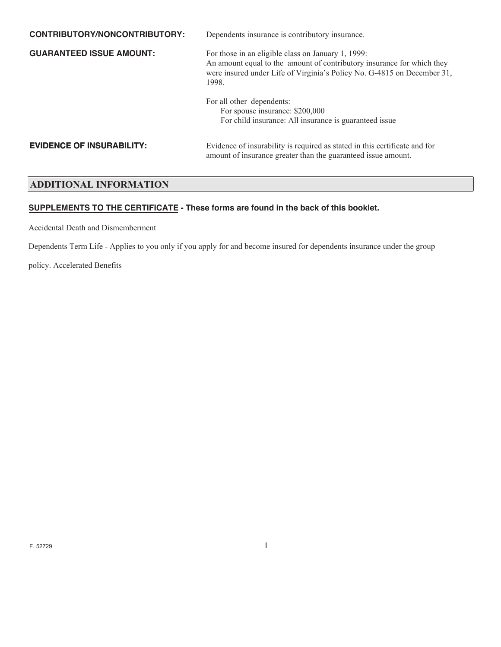| CONTRIBUTORY/NONCONTRIBUTORY:    | Dependents insurance is contributory insurance.                                                                                                                                                                  |
|----------------------------------|------------------------------------------------------------------------------------------------------------------------------------------------------------------------------------------------------------------|
| <b>GUARANTEED ISSUE AMOUNT:</b>  | For those in an eligible class on January 1, 1999:<br>An amount equal to the amount of contributory insurance for which they<br>were insured under Life of Virginia's Policy No. G-4815 on December 31,<br>1998. |
|                                  | For all other dependents:<br>For spouse insurance: \$200,000<br>For child insurance: All insurance is guaranteed issue                                                                                           |
| <b>EVIDENCE OF INSURABILITY:</b> | Evidence of insurability is required as stated in this certificate and for<br>amount of insurance greater than the guaranteed issue amount.                                                                      |

#### **ADDITIONAL INFORMATION**

#### **SUPPLEMENTS TO THE CERTIFICATE - These forms are found in the back of this booklet.**

Accidental Death and Dismemberment

Dependents Term Life - Applies to you only if you apply for and become insured for dependents insurance under the group

policy. Accelerated Benefits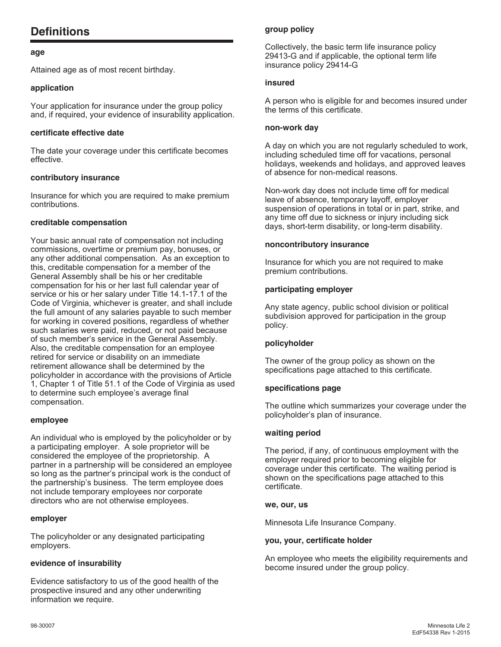## **Definitions**

#### **age**

Attained age as of most recent birthday.

#### **application**

Your application for insurance under the group policy and, if required, your evidence of insurability application.

#### **certificate effective date**

The date your coverage under this certificate becomes effective.

#### **contributory insurance**

Insurance for which you are required to make premium contributions.

#### **creditable compensation**

Your basic annual rate of compensation not including commissions, overtime or premium pay, bonuses, or any other additional compensation. As an exception to this, creditable compensation for a member of the General Assembly shall be his or her creditable compensation for his or her last full calendar year of service or his or her salary under Title 14.1-17.1 of the Code of Virginia, whichever is greater, and shall include the full amount of any salaries payable to such member for working in covered positions, regardless of whether such salaries were paid, reduced, or not paid because of such member's service in the General Assembly. Also, the creditable compensation for an employee retired for service or disability on an immediate retirement allowance shall be determined by the policyholder in accordance with the provisions of Article 1, Chapter 1 of Title 51.1 of the Code of Virginia as used to determine such employee's average final compensation.

#### **employee**

An individual who is employed by the policyholder or by a participating employer. A sole proprietor will be considered the employee of the proprietorship. A partner in a partnership will be considered an employee so long as the partner's principal work is the conduct of the partnership's business. The term employee does not include temporary employees nor corporate directors who are not otherwise employees.

#### **employer**

The policyholder or any designated participating employers.

#### **evidence of insurability**

Evidence satisfactory to us of the good health of the prospective insured and any other underwriting information we require.

#### **group policy**

Collectively, the basic term life insurance policy 29413-G and if applicable, the optional term life insurance policy 29414-G

#### **insured**

A person who is eligible for and becomes insured under the terms of this certificate.

#### **non-work day**

A day on which you are not regularly scheduled to work, including scheduled time off for vacations, personal holidays, weekends and holidays, and approved leaves of absence for non-medical reasons.

Non-work day does not include time off for medical leave of absence, temporary layoff, employer suspension of operations in total or in part, strike, and any time off due to sickness or injury including sick days, short-term disability, or long-term disability.

#### **noncontributory insurance**

Insurance for which you are not required to make premium contributions.

#### **participating employer**

Any state agency, public school division or political subdivision approved for participation in the group policy.

#### **policyholder**

The owner of the group policy as shown on the specifications page attached to this certificate.

#### **specifications page**

The outline which summarizes your coverage under the policyholder's plan of insurance.

#### **waiting period**

The period, if any, of continuous employment with the employer required prior to becoming eligible for coverage under this certificate. The waiting period is shown on the specifications page attached to this certificate.

#### **we, our, us**

Minnesota Life Insurance Company.

#### **you, your, certificate holder**

An employee who meets the eligibility requirements and become insured under the group policy.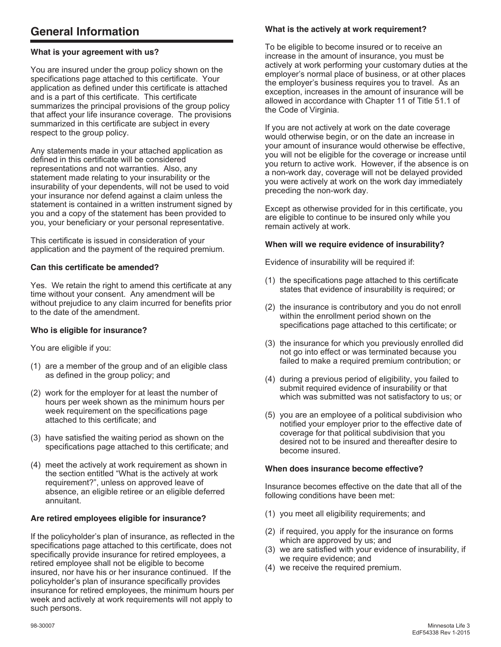#### **What is your agreement with us?**

You are insured under the group policy shown on the specifications page attached to this certificate. Your application as defined under this certificate is attached and is a part of this certificate. This certificate summarizes the principal provisions of the group policy that affect your life insurance coverage. The provisions summarized in this certificate are subject in every respect to the group policy.

Any statements made in your attached application as defined in this certificate will be considered representations and not warranties. Also, any statement made relating to your insurability or the insurability of your dependents, will not be used to void your insurance nor defend against a claim unless the statement is contained in a written instrument signed by you and a copy of the statement has been provided to you, your beneficiary or your personal representative.

This certificate is issued in consideration of your application and the payment of the required premium.

#### **Can this certificate be amended?**

Yes. We retain the right to amend this certificate at any time without your consent. Any amendment will be without prejudice to any claim incurred for benefits prior to the date of the amendment.

#### **Who is eligible for insurance?**

You are eligible if you:

- (1) are a member of the group and of an eligible class as defined in the group policy; and
- (2) work for the employer for at least the number of hours per week shown as the minimum hours per week requirement on the specifications page attached to this certificate; and
- (3) have satisfied the waiting period as shown on the specifications page attached to this certificate; and
- (4) meet the actively at work requirement as shown in the section entitled "What is the actively at work requirement?", unless on approved leave of absence, an eligible retiree or an eligible deferred annuitant.

#### **Are retired employees eligible for insurance?**

If the policyholder's plan of insurance, as reflected in the specifications page attached to this certificate, does not specifically provide insurance for retired employees, a retired employee shall not be eligible to become insured, nor have his or her insurance continued. If the policyholder's plan of insurance specifically provides insurance for retired employees, the minimum hours per week and actively at work requirements will not apply to such persons.

#### **What is the actively at work requirement?**

To be eligible to become insured or to receive an increase in the amount of insurance, you must be actively at work performing your customary duties at the employer's normal place of business, or at other places the employer's business requires you to travel. As an exception, increases in the amount of insurance will be allowed in accordance with Chapter 11 of Title 51.1 of the Code of Virginia.

If you are not actively at work on the date coverage would otherwise begin, or on the date an increase in your amount of insurance would otherwise be effective, you will not be eligible for the coverage or increase until you return to active work. However, if the absence is on a non-work day, coverage will not be delayed provided you were actively at work on the work day immediately preceding the non-work day.

Except as otherwise provided for in this certificate, you are eligible to continue to be insured only while you remain actively at work.

#### **When will we require evidence of insurability?**

Evidence of insurability will be required if:

- (1) the specifications page attached to this certificate states that evidence of insurability is required; or
- (2) the insurance is contributory and you do not enroll within the enrollment period shown on the specifications page attached to this certificate; or
- (3) the insurance for which you previously enrolled did not go into effect or was terminated because you failed to make a required premium contribution; or
- (4) during a previous period of eligibility, you failed to submit required evidence of insurability or that which was submitted was not satisfactory to us; or
- (5) you are an employee of a political subdivision who notified your employer prior to the effective date of coverage for that political subdivision that you desired not to be insured and thereafter desire to become insured.

#### **When does insurance become effective?**

Insurance becomes effective on the date that all of the following conditions have been met:

- (1) you meet all eligibility requirements; and
- (2) if required, you apply for the insurance on forms which are approved by us; and
- (3) we are satisfied with your evidence of insurability, if we require evidence; and
- (4) we receive the required premium.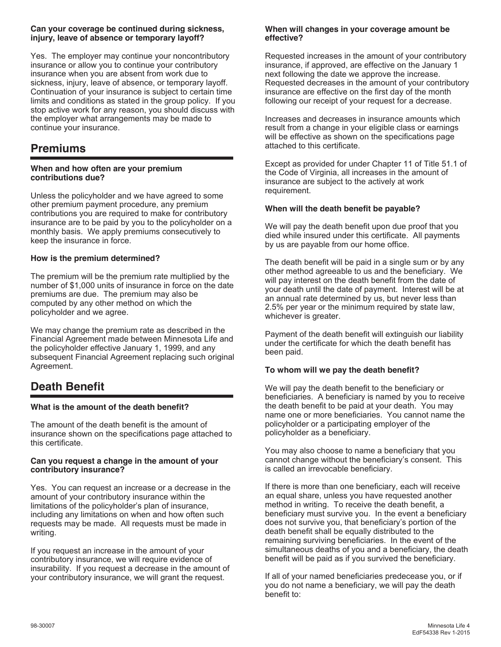#### **Can your coverage be continued during sickness, injury, leave of absence or temporary layoff?**

Yes. The employer may continue your noncontributory insurance or allow you to continue your contributory insurance when you are absent from work due to sickness, injury, leave of absence, or temporary layoff. Continuation of your insurance is subject to certain time limits and conditions as stated in the group policy. If you stop active work for any reason, you should discuss with the employer what arrangements may be made to continue your insurance.

## **Premiums**

#### **When and how often are your premium contributions due?**

Unless the policyholder and we have agreed to some other premium payment procedure, any premium contributions you are required to make for contributory insurance are to be paid by you to the policyholder on a monthly basis. We apply premiums consecutively to keep the insurance in force.

#### **How is the premium determined?**

The premium will be the premium rate multiplied by the number of \$1,000 units of insurance in force on the date premiums are due. The premium may also be computed by any other method on which the policyholder and we agree.

We may change the premium rate as described in the Financial Agreement made between Minnesota Life and the policyholder effective January 1, 1999, and any subsequent Financial Agreement replacing such original Agreement.

## **Death Benefit**

#### **What is the amount of the death benefit?**

The amount of the death benefit is the amount of insurance shown on the specifications page attached to this certificate.

#### **Can you request a change in the amount of your contributory insurance?**

Yes. You can request an increase or a decrease in the amount of your contributory insurance within the limitations of the policyholder's plan of insurance, including any limitations on when and how often such requests may be made. All requests must be made in writing.

If you request an increase in the amount of your contributory insurance, we will require evidence of insurability. If you request a decrease in the amount of your contributory insurance, we will grant the request.

#### **When will changes in your coverage amount be effective?**

Requested increases in the amount of your contributory insurance, if approved, are effective on the January 1 next following the date we approve the increase. Requested decreases in the amount of your contributory insurance are effective on the first day of the month following our receipt of your request for a decrease.

Increases and decreases in insurance amounts which result from a change in your eligible class or earnings will be effective as shown on the specifications page attached to this certificate.

Except as provided for under Chapter 11 of Title 51.1 of the Code of Virginia, all increases in the amount of insurance are subject to the actively at work requirement.

#### **When will the death benefit be payable?**

We will pay the death benefit upon due proof that you died while insured under this certificate. All payments by us are payable from our home office.

The death benefit will be paid in a single sum or by any other method agreeable to us and the beneficiary. We will pay interest on the death benefit from the date of your death until the date of payment. Interest will be at an annual rate determined by us, but never less than 2.5% per year or the minimum required by state law, whichever is greater.

Payment of the death benefit will extinguish our liability under the certificate for which the death benefit has been paid.

#### **To whom will we pay the death benefit?**

We will pay the death benefit to the beneficiary or beneficiaries. A beneficiary is named by you to receive the death benefit to be paid at your death. You may name one or more beneficiaries. You cannot name the policyholder or a participating employer of the policyholder as a beneficiary.

You may also choose to name a beneficiary that you cannot change without the beneficiary's consent. This is called an irrevocable beneficiary.

If there is more than one beneficiary, each will receive an equal share, unless you have requested another method in writing. To receive the death benefit, a beneficiary must survive you. In the event a beneficiary does not survive you, that beneficiary's portion of the death benefit shall be equally distributed to the remaining surviving beneficiaries. In the event of the simultaneous deaths of you and a beneficiary, the death benefit will be paid as if you survived the beneficiary.

If all of your named beneficiaries predecease you, or if you do not name a beneficiary, we will pay the death benefit to: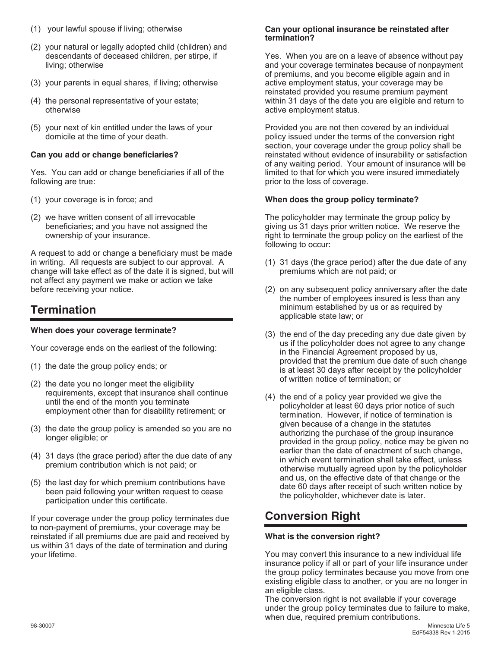- (1) your lawful spouse if living; otherwise
- (2) your natural or legally adopted child (children) and descendants of deceased children, per stirpe, if living; otherwise
- (3) your parents in equal shares, if living; otherwise
- (4) the personal representative of your estate; otherwise
- (5) your next of kin entitled under the laws of your domicile at the time of your death.

#### **Can you add or change beneficiaries?**

Yes. You can add or change beneficiaries if all of the following are true:

- (1) your coverage is in force; and
- (2) we have written consent of all irrevocable beneficiaries; and you have not assigned the ownership of your insurance.

A request to add or change a beneficiary must be made in writing. All requests are subject to our approval. A change will take effect as of the date it is signed, but will not affect any payment we make or action we take before receiving your notice.

## **Termination**

#### **When does your coverage terminate?**

Your coverage ends on the earliest of the following:

- (1) the date the group policy ends; or
- (2) the date you no longer meet the eligibility requirements, except that insurance shall continue until the end of the month you terminate employment other than for disability retirement; or
- (3) the date the group policy is amended so you are no longer eligible; or
- (4) 31 days (the grace period) after the due date of any premium contribution which is not paid; or
- (5) the last day for which premium contributions have been paid following your written request to cease participation under this certificate.

If your coverage under the group policy terminates due to non-payment of premiums, your coverage may be reinstated if all premiums due are paid and received by us within 31 days of the date of termination and during your lifetime.

#### **Can your optional insurance be reinstated after termination?**

Yes. When you are on a leave of absence without pay and your coverage terminates because of nonpayment of premiums, and you become eligible again and in active employment status, your coverage may be reinstated provided you resume premium payment within 31 days of the date you are eligible and return to active employment status.

Provided you are not then covered by an individual policy issued under the terms of the conversion right section, your coverage under the group policy shall be reinstated without evidence of insurability or satisfaction of any waiting period. Your amount of insurance will be limited to that for which you were insured immediately prior to the loss of coverage.

#### **When does the group policy terminate?**

The policyholder may terminate the group policy by giving us 31 days prior written notice. We reserve the right to terminate the group policy on the earliest of the following to occur:

- (1) 31 days (the grace period) after the due date of any premiums which are not paid; or
- (2) on any subsequent policy anniversary after the date the number of employees insured is less than any minimum established by us or as required by applicable state law; or
- (3) the end of the day preceding any due date given by us if the policyholder does not agree to any change in the Financial Agreement proposed by us, provided that the premium due date of such change is at least 30 days after receipt by the policyholder of written notice of termination; or
- (4) the end of a policy year provided we give the policyholder at least 60 days prior notice of such termination. However, if notice of termination is given because of a change in the statutes authorizing the purchase of the group insurance provided in the group policy, notice may be given no earlier than the date of enactment of such change, in which event termination shall take effect, unless otherwise mutually agreed upon by the policyholder and us, on the effective date of that change or the date 60 days after receipt of such written notice by the policyholder, whichever date is later.

## **Conversion Right**

#### **What is the conversion right?**

You may convert this insurance to a new individual life insurance policy if all or part of your life insurance under the group policy terminates because you move from one existing eligible class to another, or you are no longer in an eligible class.

The conversion right is not available if your coverage under the group policy terminates due to failure to make, when due, required premium contributions.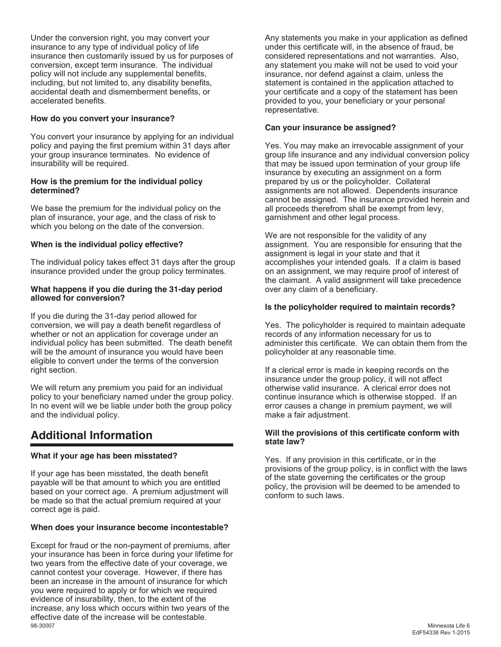Under the conversion right, you may convert your insurance to any type of individual policy of life insurance then customarily issued by us for purposes of conversion, except term insurance. The individual policy will not include any supplemental benefits, including, but not limited to, any disability benefits, accidental death and dismemberment benefits, or accelerated benefits.

#### **How do you convert your insurance?**

You convert your insurance by applying for an individual policy and paying the first premium within 31 days after your group insurance terminates. No evidence of insurability will be required.

#### **How is the premium for the individual policy determined?**

We base the premium for the individual policy on the plan of insurance, your age, and the class of risk to which you belong on the date of the conversion.

#### **When is the individual policy effective?**

The individual policy takes effect 31 days after the group insurance provided under the group policy terminates.

#### **What happens if you die during the 31-day period allowed for conversion?**

If you die during the 31-day period allowed for conversion, we will pay a death benefit regardless of whether or not an application for coverage under an individual policy has been submitted. The death benefit will be the amount of insurance you would have been eligible to convert under the terms of the conversion right section.

We will return any premium you paid for an individual policy to your beneficiary named under the group policy. In no event will we be liable under both the group policy and the individual policy.

## **Additional Information**

#### **What if your age has been misstated?**

If your age has been misstated, the death benefit payable will be that amount to which you are entitled based on your correct age. A premium adjustment will be made so that the actual premium required at your correct age is paid.

#### **When does your insurance become incontestable?**

98-30007 Minnesota Life 6 Except for fraud or the non-payment of premiums, after your insurance has been in force during your lifetime for two years from the effective date of your coverage, we cannot contest your coverage. However, if there has been an increase in the amount of insurance for which you were required to apply or for which we required evidence of insurability, then, to the extent of the increase, any loss which occurs within two years of the effective date of the increase will be contestable.<br>98-30007

Any statements you make in your application as defined under this certificate will, in the absence of fraud, be considered representations and not warranties. Also, any statement you make will not be used to void your insurance, nor defend against a claim, unless the statement is contained in the application attached to your certificate and a copy of the statement has been provided to you, your beneficiary or your personal representative.

#### **Can your insurance be assigned?**

Yes. You may make an irrevocable assignment of your group life insurance and any individual conversion policy that may be issued upon termination of your group life insurance by executing an assignment on a form prepared by us or the policyholder. Collateral assignments are not allowed. Dependents insurance cannot be assigned. The insurance provided herein and all proceeds therefrom shall be exempt from levy, garnishment and other legal process.

We are not responsible for the validity of any assignment. You are responsible for ensuring that the assignment is legal in your state and that it accomplishes your intended goals. If a claim is based on an assignment, we may require proof of interest of the claimant. A valid assignment will take precedence over any claim of a beneficiary.

#### **Is the policyholder required to maintain records?**

Yes. The policyholder is required to maintain adequate records of any information necessary for us to administer this certificate. We can obtain them from the policyholder at any reasonable time.

If a clerical error is made in keeping records on the insurance under the group policy, it will not affect otherwise valid insurance. A clerical error does not continue insurance which is otherwise stopped. If an error causes a change in premium payment, we will make a fair adjustment.

#### **Will the provisions of this certificate conform with state law?**

Yes. If any provision in this certificate, or in the provisions of the group policy, is in conflict with the laws of the state governing the certificates or the group policy, the provision will be deemed to be amended to conform to such laws.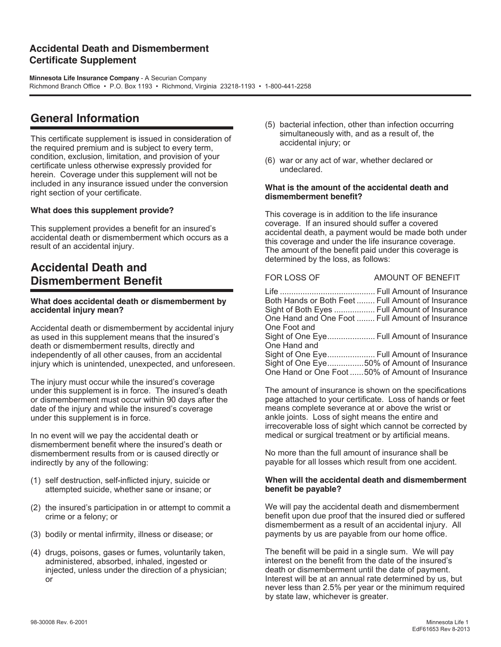### **Accidental Death and Dismemberment Certificate Supplement**

**Minnesota Life Insurance Company** - A Securian Company Richmond Branch Office • P.O. Box 1193 • Richmond, Virginia 23218-1193 • 1-800-441-2258

## **General Information**

This certificate supplement is issued in consideration of the required premium and is subject to every term, condition, exclusion, limitation, and provision of your certificate unless otherwise expressly provided for herein. Coverage under this supplement will not be included in any insurance issued under the conversion right section of your certificate.

#### **What does this supplement provide?**

This supplement provides a benefit for an insured's accidental death or dismemberment which occurs as a result of an accidental injury.

## **Accidental Death and Dismemberment Benefit**

#### **What does accidental death or dismemberment by accidental injury mean?**

Accidental death or dismemberment by accidental injury as used in this supplement means that the insured's death or dismemberment results, directly and independently of all other causes, from an accidental injury which is unintended, unexpected, and unforeseen.

The injury must occur while the insured's coverage under this supplement is in force. The insured's death or dismemberment must occur within 90 days after the date of the injury and while the insured's coverage under this supplement is in force.

In no event will we pay the accidental death or dismemberment benefit where the insured's death or dismemberment results from or is caused directly or indirectly by any of the following:

- (1) self destruction, self-inflicted injury, suicide or attempted suicide, whether sane or insane; or
- (2) the insured's participation in or attempt to commit a crime or a felony; or
- (3) bodily or mental infirmity, illness or disease; or
- (4) drugs, poisons, gases or fumes, voluntarily taken, administered, absorbed, inhaled, ingested or injected, unless under the direction of a physician; or
- (5) bacterial infection, other than infection occurring simultaneously with, and as a result of, the accidental injury; or
- (6) war or any act of war, whether declared or undeclared.

#### **What is the amount of the accidental death and dismemberment benefit?**

This coverage is in addition to the life insurance coverage. If an insured should suffer a covered accidental death, a payment would be made both under this coverage and under the life insurance coverage. The amount of the benefit paid under this coverage is determined by the loss, as follows:

### FOR LOSS OF AMOUNT OF BENEFIT Life .......................................... Full Amount of Insurance Both Hands or Both Feet ........ Full Amount of Insurance

|              | Sight of Both Eyes  Full Amount of Insurance    |
|--------------|-------------------------------------------------|
|              | One Hand and One Foot  Full Amount of Insurance |
| One Foot and |                                                 |
|              | Sight of One Eye Full Amount of Insurance       |
| One Hand and |                                                 |
|              | Sight of One Eye Full Amount of Insurance       |
|              | Sight of One Eye50% of Amount of Insurance      |
|              | One Hand or One Foot 50% of Amount of Insurance |
|              |                                                 |

The amount of insurance is shown on the specifications page attached to your certificate. Loss of hands or feet means complete severance at or above the wrist or ankle joints. Loss of sight means the entire and irrecoverable loss of sight which cannot be corrected by medical or surgical treatment or by artificial means.

No more than the full amount of insurance shall be payable for all losses which result from one accident.

#### **When will the accidental death and dismemberment benefit be payable?**

We will pay the accidental death and dismemberment benefit upon due proof that the insured died or suffered dismemberment as a result of an accidental injury. All payments by us are payable from our home office.

The benefit will be paid in a single sum. We will pay interest on the benefit from the date of the insured's death or dismemberment until the date of payment. Interest will be at an annual rate determined by us, but never less than 2.5% per year or the minimum required by state law, whichever is greater.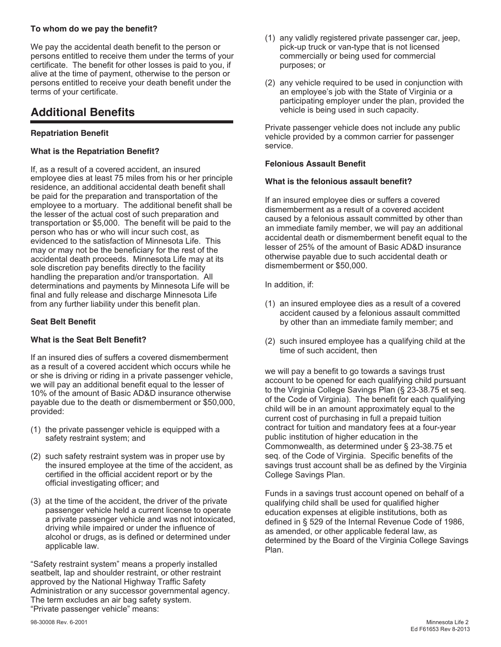#### **To whom do we pay the benefit?**

We pay the accidental death benefit to the person or persons entitled to receive them under the terms of your certificate. The benefit for other losses is paid to you, if alive at the time of payment, otherwise to the person or persons entitled to receive your death benefit under the terms of your certificate.

## **Additional Benefits**

#### **Repatriation Benefit**

#### **What is the Repatriation Benefit?**

If, as a result of a covered accident, an insured employee dies at least 75 miles from his or her principle residence, an additional accidental death benefit shall be paid for the preparation and transportation of the employee to a mortuary. The additional benefit shall be the lesser of the actual cost of such preparation and transportation or \$5,000. The benefit will be paid to the person who has or who will incur such cost, as evidenced to the satisfaction of Minnesota Life. This may or may not be the beneficiary for the rest of the accidental death proceeds. Minnesota Life may at its sole discretion pay benefits directly to the facility handling the preparation and/or transportation. All determinations and payments by Minnesota Life will be final and fully release and discharge Minnesota Life from any further liability under this benefit plan.

#### **Seat Belt Benefit**

#### **What is the Seat Belt Benefit?**

If an insured dies of suffers a covered dismemberment as a result of a covered accident which occurs while he or she is driving or riding in a private passenger vehicle, we will pay an additional benefit equal to the lesser of 10% of the amount of Basic AD&D insurance otherwise payable due to the death or dismemberment or \$50,000, provided:

- (1) the private passenger vehicle is equipped with a safety restraint system; and
- (2) such safety restraint system was in proper use by the insured employee at the time of the accident, as certified in the official accident report or by the official investigating officer; and
- (3) at the time of the accident, the driver of the private passenger vehicle held a current license to operate a private passenger vehicle and was not intoxicated, driving while impaired or under the influence of alcohol or drugs, as is defined or determined under applicable law.

"Safety restraint system" means a properly installed seatbelt, lap and shoulder restraint, or other restraint approved by the National Highway Traffic Safety Administration or any successor governmental agency. The term excludes an air bag safety system. "Private passenger vehicle" means:

- (1) any validly registered private passenger car, jeep, pick-up truck or van-type that is not licensed commercially or being used for commercial purposes; or
- (2) any vehicle required to be used in conjunction with an employee's job with the State of Virginia or a participating employer under the plan, provided the vehicle is being used in such capacity.

Private passenger vehicle does not include any public vehicle provided by a common carrier for passenger service.

#### **Felonious Assault Benefit**

#### **What is the felonious assault benefit?**

If an insured employee dies or suffers a covered dismemberment as a result of a covered accident caused by a felonious assault committed by other than an immediate family member, we will pay an additional accidental death or dismemberment benefit equal to the lesser of 25% of the amount of Basic AD&D insurance otherwise payable due to such accidental death or dismemberment or \$50,000.

In addition, if:

- (1) an insured employee dies as a result of a covered accident caused by a felonious assault committed by other than an immediate family member; and
- (2) such insured employee has a qualifying child at the time of such accident, then

we will pay a benefit to go towards a savings trust account to be opened for each qualifying child pursuant to the Virginia College Savings Plan (§ 23-38.75 et seq. of the Code of Virginia). The benefit for each qualifying child will be in an amount approximately equal to the current cost of purchasing in full a prepaid tuition contract for tuition and mandatory fees at a four-year public institution of higher education in the Commonwealth, as determined under § 23-38.75 et seq. of the Code of Virginia. Specific benefits of the savings trust account shall be as defined by the Virginia College Savings Plan.

Funds in a savings trust account opened on behalf of a qualifying child shall be used for qualified higher education expenses at eligible institutions, both as defined in § 529 of the Internal Revenue Code of 1986, as amended, or other applicable federal law, as determined by the Board of the Virginia College Savings Plan.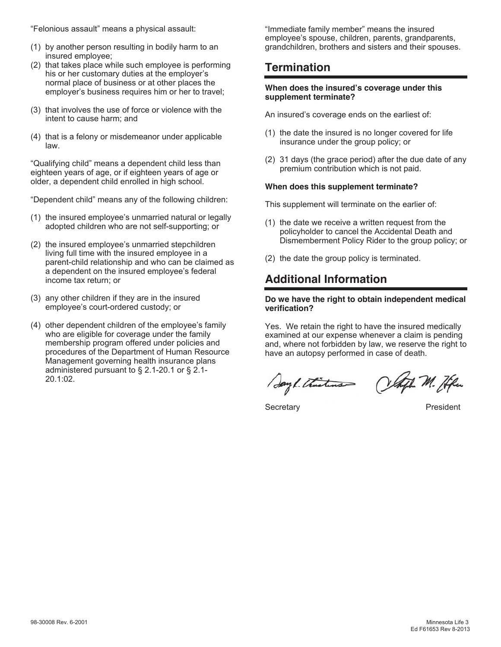"Felonious assault" means a physical assault:

- (1) by another person resulting in bodily harm to an insured employee;
- (2) that takes place while such employee is performing his or her customary duties at the employer's normal place of business or at other places the employer's business requires him or her to travel;
- (3) that involves the use of force or violence with the intent to cause harm; and
- (4) that is a felony or misdemeanor under applicable law.

"Qualifying child" means a dependent child less than eighteen years of age, or if eighteen years of age or older, a dependent child enrolled in high school.

"Dependent child" means any of the following children:

- (1) the insured employee's unmarried natural or legally adopted children who are not self-supporting; or
- (2) the insured employee's unmarried stepchildren living full time with the insured employee in a parent-child relationship and who can be claimed as a dependent on the insured employee's federal income tax return; or
- (3) any other children if they are in the insured employee's court-ordered custody; or
- (4) other dependent children of the employee's family who are eligible for coverage under the family membership program offered under policies and procedures of the Department of Human Resource Management governing health insurance plans administered pursuant to § 2.1-20.1 or § 2.1- 20.1:02.

"Immediate family member" means the insured employee's spouse, children, parents, grandparents, grandchildren, brothers and sisters and their spouses.

## **Termination**

#### **When does the insured's coverage under this supplement terminate?**

An insured's coverage ends on the earliest of:

- (1) the date the insured is no longer covered for life insurance under the group policy; or
- (2) 31 days (the grace period) after the due date of any premium contribution which is not paid.

#### **When does this supplement terminate?**

This supplement will terminate on the earlier of:

- (1) the date we receive a written request from the policyholder to cancel the Accidental Death and Dismemberment Policy Rider to the group policy; or
- (2) the date the group policy is terminated.

## **Additional Information**

#### **Do we have the right to obtain independent medical verification?**

Yes. We retain the right to have the insured medically examined at our expense whenever a claim is pending and, where not forbidden by law, we reserve the right to have an autopsy performed in case of death.

Sayl. Christman Chiffe M. He

Secretary **President**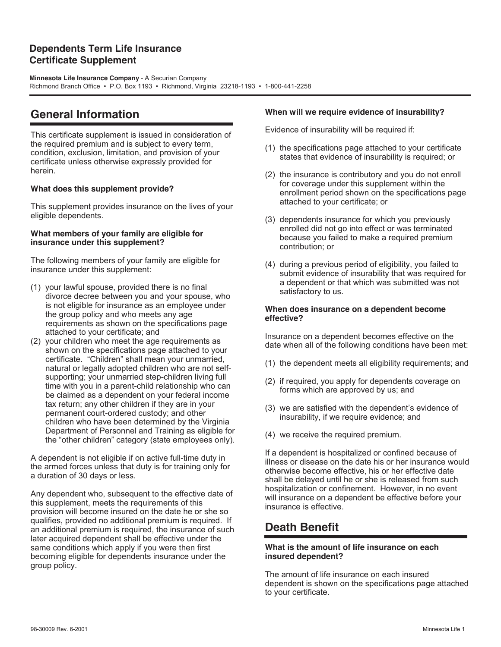### **Dependents Term Life Insurance Certificate Supplement**

**Minnesota Life Insurance Company** - A Securian Company Richmond Branch Office • P.O. Box 1193 • Richmond, Virginia 23218-1193 • 1-800-441-2258

## **General Information**

This certificate supplement is issued in consideration of the required premium and is subject to every term, condition, exclusion, limitation, and provision of your certificate unless otherwise expressly provided for herein.

#### **What does this supplement provide?**

This supplement provides insurance on the lives of your eligible dependents.

#### **What members of your family are eligible for insurance under this supplement?**

The following members of your family are eligible for insurance under this supplement:

- (1) your lawful spouse, provided there is no final divorce decree between you and your spouse, who is not eligible for insurance as an employee under the group policy and who meets any age requirements as shown on the specifications page attached to your certificate; and
- (2) your children who meet the age requirements as shown on the specifications page attached to your certificate. "Children" shall mean your unmarried, natural or legally adopted children who are not selfsupporting; your unmarried step-children living full time with you in a parent-child relationship who can be claimed as a dependent on your federal income tax return; any other children if they are in your permanent court-ordered custody; and other children who have been determined by the Virginia Department of Personnel and Training as eligible for the "other children" category (state employees only).

A dependent is not eligible if on active full-time duty in the armed forces unless that duty is for training only for a duration of 30 days or less.

Any dependent who, subsequent to the effective date of this supplement, meets the requirements of this provision will become insured on the date he or she so qualifies, provided no additional premium is required. If an additional premium is required, the insurance of such later acquired dependent shall be effective under the same conditions which apply if you were then first becoming eligible for dependents insurance under the group policy.

#### **When will we require evidence of insurability?**

Evidence of insurability will be required if:

- (1) the specifications page attached to your certificate states that evidence of insurability is required; or
- (2) the insurance is contributory and you do not enroll for coverage under this supplement within the enrollment period shown on the specifications page attached to your certificate; or
- (3) dependents insurance for which you previously enrolled did not go into effect or was terminated because you failed to make a required premium contribution; or
- (4) during a previous period of eligibility, you failed to submit evidence of insurability that was required for a dependent or that which was submitted was not satisfactory to us.

#### **When does insurance on a dependent become effective?**

Insurance on a dependent becomes effective on the date when all of the following conditions have been met:

- (1) the dependent meets all eligibility requirements; and
- (2) if required, you apply for dependents coverage on forms which are approved by us; and
- (3) we are satisfied with the dependent's evidence of insurability, if we require evidence; and
- (4) we receive the required premium.

If a dependent is hospitalized or confined because of illness or disease on the date his or her insurance would otherwise become effective, his or her effective date shall be delayed until he or she is released from such hospitalization or confinement. However, in no event will insurance on a dependent be effective before your insurance is effective.

## **Death Benefit**

#### **What is the amount of life insurance on each insured dependent?**

The amount of life insurance on each insured dependent is shown on the specifications page attached to your certificate.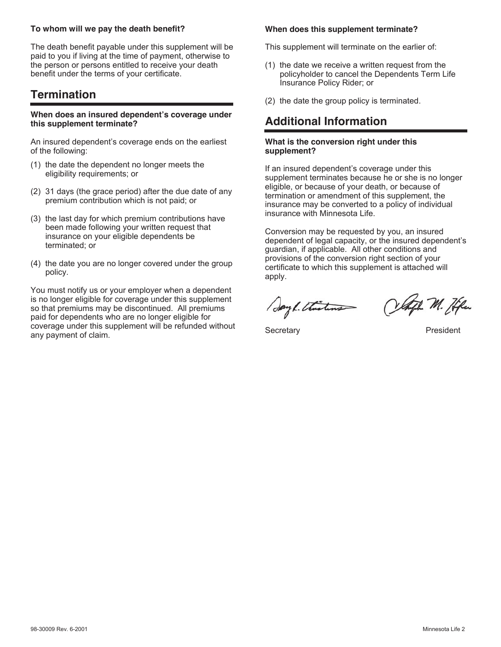#### **To whom will we pay the death benefit?**

The death benefit payable under this supplement will be paid to you if living at the time of payment, otherwise to the person or persons entitled to receive your death benefit under the terms of your certificate.

## **Termination**

#### **When does an insured dependent's coverage under this supplement terminate?**

An insured dependent's coverage ends on the earliest of the following:

- (1) the date the dependent no longer meets the eligibility requirements; or
- (2) 31 days (the grace period) after the due date of any premium contribution which is not paid; or
- (3) the last day for which premium contributions have been made following your written request that insurance on your eligible dependents be terminated; or
- (4) the date you are no longer covered under the group policy.

You must notify us or your employer when a dependent is no longer eligible for coverage under this supplement so that premiums may be discontinued. All premiums paid for dependents who are no longer eligible for coverage under this supplement will be refunded without any payment of claim.

#### **When does this supplement terminate?**

This supplement will terminate on the earlier of:

- (1) the date we receive a written request from the policyholder to cancel the Dependents Term Life Insurance Policy Rider; or
- (2) the date the group policy is terminated.

## **Additional Information**

#### **What is the conversion right under this supplement?**

If an insured dependent's coverage under this supplement terminates because he or she is no longer eligible, or because of your death, or because of termination or amendment of this supplement, the insurance may be converted to a policy of individual insurance with Minnesota Life.

Conversion may be requested by you, an insured dependent of legal capacity, or the insured dependent's guardian, if applicable. All other conditions and provisions of the conversion right section of your certificate to which this supplement is attached will apply.

Sayl. Thistens

Celaph M. Hen

Secretary **President**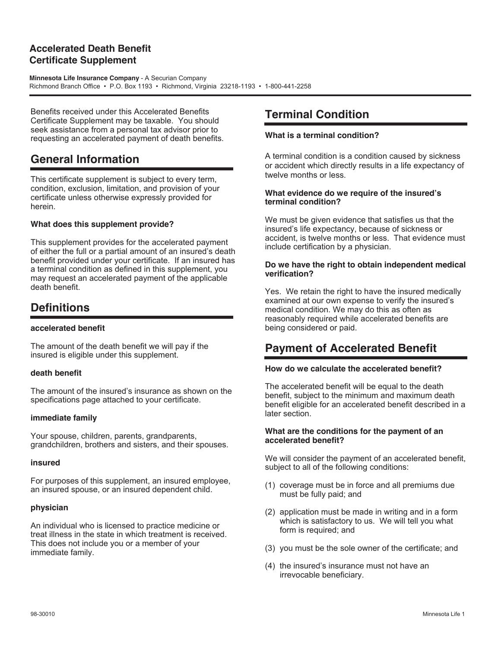### **Accelerated Death Benefit Certificate Supplement**

**Minnesota Life Insurance Company** - A Securian Company Richmond Branch Office • P.O. Box 1193 • Richmond, Virginia 23218-1193 • 1-800-441-2258

Benefits received under this Accelerated Benefits Certificate Supplement may be taxable. You should seek assistance from a personal tax advisor prior to requesting an accelerated payment of death benefits.

## **General Information**

This certificate supplement is subject to every term, condition, exclusion, limitation, and provision of your certificate unless otherwise expressly provided for herein.

#### **What does this supplement provide?**

This supplement provides for the accelerated payment of either the full or a partial amount of an insured's death benefit provided under your certificate. If an insured has a terminal condition as defined in this supplement, you may request an accelerated payment of the applicable death benefit.

## **Definitions**

#### **accelerated benefit**

The amount of the death benefit we will pay if the insured is eligible under this supplement.

#### **death benefit**

The amount of the insured's insurance as shown on the specifications page attached to your certificate.

#### **immediate family**

Your spouse, children, parents, grandparents, grandchildren, brothers and sisters, and their spouses.

#### **insured**

For purposes of this supplement, an insured employee, an insured spouse, or an insured dependent child.

#### **physician**

An individual who is licensed to practice medicine or treat illness in the state in which treatment is received. This does not include you or a member of your immediate family.

## **Terminal Condition**

#### **What is a terminal condition?**

A terminal condition is a condition caused by sickness or accident which directly results in a life expectancy of twelve months or less.

#### **What evidence do we require of the insured's terminal condition?**

We must be given evidence that satisfies us that the insured's life expectancy, because of sickness or accident, is twelve months or less. That evidence must include certification by a physician.

#### **Do we have the right to obtain independent medical verification?**

Yes. We retain the right to have the insured medically examined at our own expense to verify the insured's medical condition. We may do this as often as reasonably required while accelerated benefits are being considered or paid.

## **Payment of Accelerated Benefit**

#### **How do we calculate the accelerated benefit?**

The accelerated benefit will be equal to the death benefit, subject to the minimum and maximum death benefit eligible for an accelerated benefit described in a later section.

#### **What are the conditions for the payment of an accelerated benefit?**

We will consider the payment of an accelerated benefit, subject to all of the following conditions:

- (1) coverage must be in force and all premiums due must be fully paid; and
- (2) application must be made in writing and in a form which is satisfactory to us. We will tell you what form is required; and
- (3) you must be the sole owner of the certificate; and
- (4) the insured's insurance must not have an irrevocable beneficiary.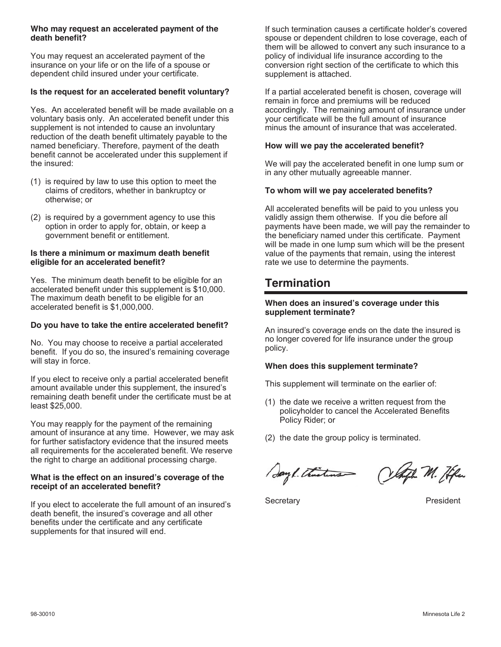#### **Who may request an accelerated payment of the death benefit?**

You may request an accelerated payment of the insurance on your life or on the life of a spouse or dependent child insured under your certificate.

#### **Is the request for an accelerated benefit voluntary?**

Yes. An accelerated benefit will be made available on a voluntary basis only. An accelerated benefit under this supplement is not intended to cause an involuntary reduction of the death benefit ultimately payable to the named beneficiary. Therefore, payment of the death benefit cannot be accelerated under this supplement if the insured:

- (1) is required by law to use this option to meet the claims of creditors, whether in bankruptcy or otherwise; or
- (2) is required by a government agency to use this option in order to apply for, obtain, or keep a government benefit or entitlement.

#### **Is there a minimum or maximum death benefit eligible for an accelerated benefit?**

Yes. The minimum death benefit to be eligible for an accelerated benefit under this supplement is \$10,000. The maximum death benefit to be eligible for an accelerated benefit is \$1,000,000.

#### **Do you have to take the entire accelerated benefit?**

No. You may choose to receive a partial accelerated benefit. If you do so, the insured's remaining coverage will stay in force.

If you elect to receive only a partial accelerated benefit amount available under this supplement, the insured's remaining death benefit under the certificate must be at least \$25,000.

You may reapply for the payment of the remaining amount of insurance at any time. However, we may ask for further satisfactory evidence that the insured meets all requirements for the accelerated benefit. We reserve the right to charge an additional processing charge.

#### **What is the effect on an insured's coverage of the receipt of an accelerated benefit?**

If you elect to accelerate the full amount of an insured's death benefit, the insured's coverage and all other benefits under the certificate and any certificate supplements for that insured will end.

If such termination causes a certificate holder's covered spouse or dependent children to lose coverage, each of them will be allowed to convert any such insurance to a policy of individual life insurance according to the conversion right section of the certificate to which this supplement is attached.

If a partial accelerated benefit is chosen, coverage will remain in force and premiums will be reduced accordingly. The remaining amount of insurance under your certificate will be the full amount of insurance minus the amount of insurance that was accelerated.

#### **How will we pay the accelerated benefit?**

We will pay the accelerated benefit in one lump sum or in any other mutually agreeable manner.

#### **To whom will we pay accelerated benefits?**

All accelerated benefits will be paid to you unless you validly assign them otherwise. If you die before all payments have been made, we will pay the remainder to the beneficiary named under this certificate. Payment will be made in one lump sum which will be the present value of the payments that remain, using the interest rate we use to determine the payments.

## **Termination**

#### **When does an insured's coverage under this supplement terminate?**

An insured's coverage ends on the date the insured is no longer covered for life insurance under the group policy.

#### **When does this supplement terminate?**

This supplement will terminate on the earlier of:

- (1) the date we receive a written request from the policyholder to cancel the Accelerated Benefits Policy Rider; or
- (2) the date the group policy is terminated.

Sayl. thistens Olafh M. He

Secretary **President**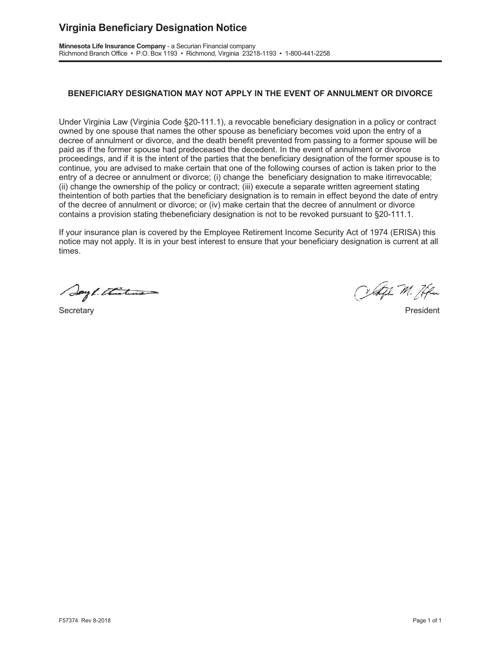## **Virginia Beneficiary Designation Notice**

Minnesota Life Insurance Company - a Securian Financial company Richmond Branch Office • P.O. Box 1193 • Richmond, Virginia 23218-1193 • 1-800-441-2258

#### **BENEFICIARY DESIGNATION MAY NOT APPLY IN THE EVENT OF ANNULMENT OR DIVORCE**

Under Virginia Law (Virginia Code §20-111.1), a revocable beneficiary designation in a policy or contract owned by one spouse that names the other spouse as beneficiary becomes void upon the entry of a decree of annulment or divorce, and the death benefit prevented from passing to a former spouse will be paid as if the former spouse had predeceased the decedent. In the event of annulment or divorce proceedings, and if it is the intent of the parties that the beneficiary designation of the former spouse is to continue, you are advised to make certain that one of the following courses of action is taken prior to the entry of a decree or annulment or divorce; (i) change the beneficiary designation to make itirrevocable; (ii) change the ownership of the policy or contract; (iii) execute a separate written agreement stating theintention of both parties that the beneficiary designation is to remain in effect beyond the date of entry of the decree of annulment or divorce; or (iv) make certain that the decree of annulment or divorce contains a provision stating the beneficiary designation is not to be revoked pursuant to  $\S20-111.1$ .

If your insurance plan is covered by the Employee Retirement Income Security Act of 1974 (ERISA) this notice may not apply. It is in your best interest to ensure that your beneficiary designation is current at all times.

Sayl. Thisting

6HFUHWDU\ 3UHVLGHQW

Olteft M. Hfen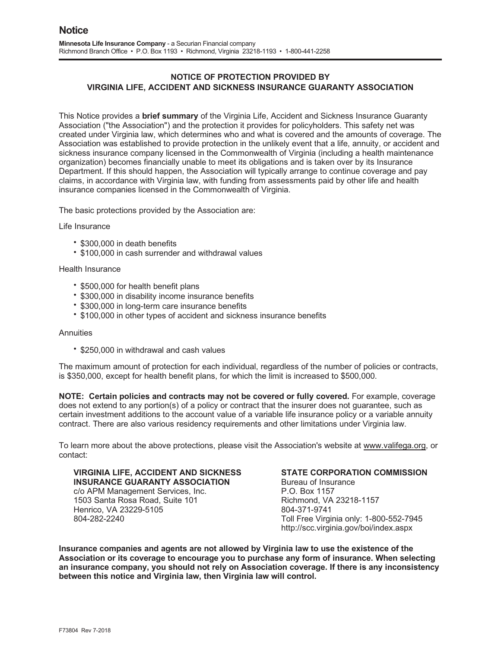#### **VIRGINIA LIFE, ACCIDENT AND SICKNESS INSURANCE GUARANTY ASSOCIATION NOTICE OF PROTECTION PROVIDED BY**

This Notice provides a **brief summary** of the Virginia Life, Accident and Sickness Insurance Guaranty Association ("the Association") and the protection it provides for policyholders. This safety net was created under Virginia law, which determines who and what is covered and the amounts of coverage. The Association was established to provide protection in the unlikely event that a life, annuity, or accident and sickness insurance company licensed in the Commonwealth of Virginia (including a health maintenance organization) becomes financially unable to meet its obligations and is taken over by its Insurance Department. If this should happen, the Association will typically arrange to continue coverage and pay claims, in accordance with Virginia law, with funding from assessments paid by other life and health insurance companies licensed in the Commonwealth of Virginia.

The basic protections provided by the Association are:

Life Insurance

- \$300,000 in death benefits
- \* \$100,000 in cash surrender and withdrawal values

#### Health Insurance

- \* \$500,000 for health benefit plans
- \$300,000 in disability income insurance benefits
- \$300,000 in long-term care insurance benefits
- \* \$100,000 in other types of accident and sickness insurance benefits

#### **Annuities**

\* \$250,000 in withdrawal and cash values

The maximum amount of protection for each individual, regardless of the number of policies or contracts. is  $$350,000$ , except for health benefit plans, for which the limit is increased to  $$500,000$ .

**NOTE: Certain policies and contracts may not be covered or fully covered.** For example, coverage does not extend to any portion(s) of a policy or contract that the insurer does not quarantee, such as certain investment additions to the account value of a variable life insurance policy or a variable annuity contract. There are also various residency requirements and other limitations under Virginia law.

To learn more about the above protections, please visit the Association's website at <u>www.valifega.org</u>, or contact:

**VIRGINIA LIFE, ACCIDENT AND SICKNESS INSURANCE GUARANTY ASSOCIATION** c/o APM Management Services, Inc. 1503 Santa Rosa Road, Suite 101 Henrico, VA 23229-5105 804-282-2240

#### **STATE CORPORATION COMMISSION**

Bureau of Insurance P.O. Box 1157 Richmond, VA 23218-1157 804-371-9741 Toll Free Virginia only: 1-800-552-7945 http://scc.virginia.gov/boi/index.aspx

Insurance companies and agents are not allowed by Virginia law to use the existence of the Association or its coverage to encourage you to purchase any form of insurance. When selecting an insurance company, you should not rely on Association coverage. If there is any inconsistency between this notice and Virginia law, then Virginia law will control.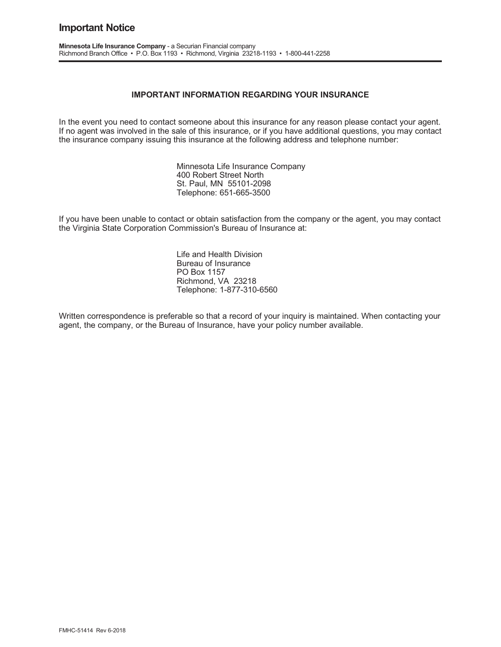#### **Important Notice**

#### **IMPORTANT INFORMATION REGARDING YOUR INSURANCE**

In the event you need to contact someone about this insurance for any reason please contact your agent. If no agent was involved in the sale of this insurance, or if you have additional questions, you may contact the insurance company issuing this insurance at the following address and telephone number:

> Minnesota Life Insurance Company 400 Robert Street North St. Paul, MN 55101-2098 Telephone: 651-665-3500

If you have been unable to contact or obtain satisfaction from the company or the agent, you may contact the Virginia State Corporation Commission's Bureau of Insurance at:

> Life and Health Division Bureau of Insurance PO Box 1157 Richmond, VA 23218 Telephone: 1-877-310-6560

Written correspondence is preferable so that a record of your inquiry is maintained. When contacting your agent, the company, or the Bureau of Insurance, have your policy number available.